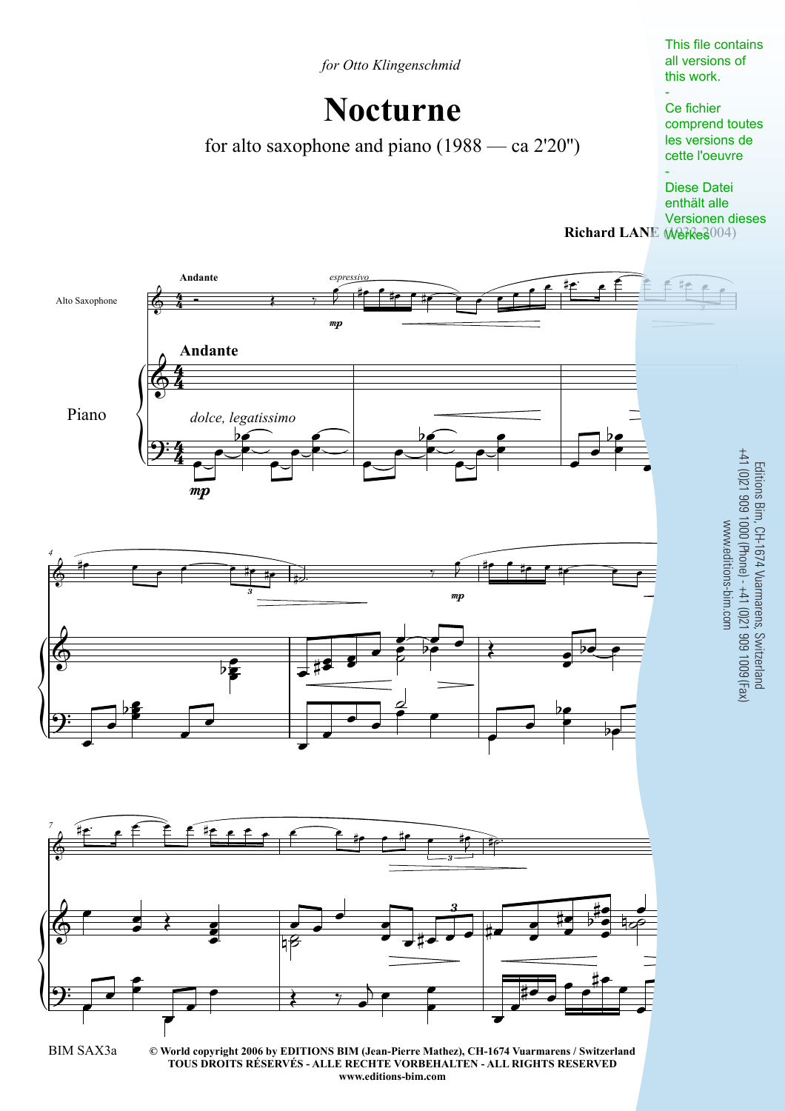*for Otto Klingenschmid*

## **Nocturne**

for alto saxophone and piano (1988 — ca 2'20'')

This file contains all versions of this work.

## - Ce fichier comprend toutes les versions de cette l'oeuvre

Richard LANE (Werkes004) - Diese Datei enthält alle Versionen dieses

Editions Bim, CH-1674 Vuarmarens, Switzerland



**www.editions-bim.com**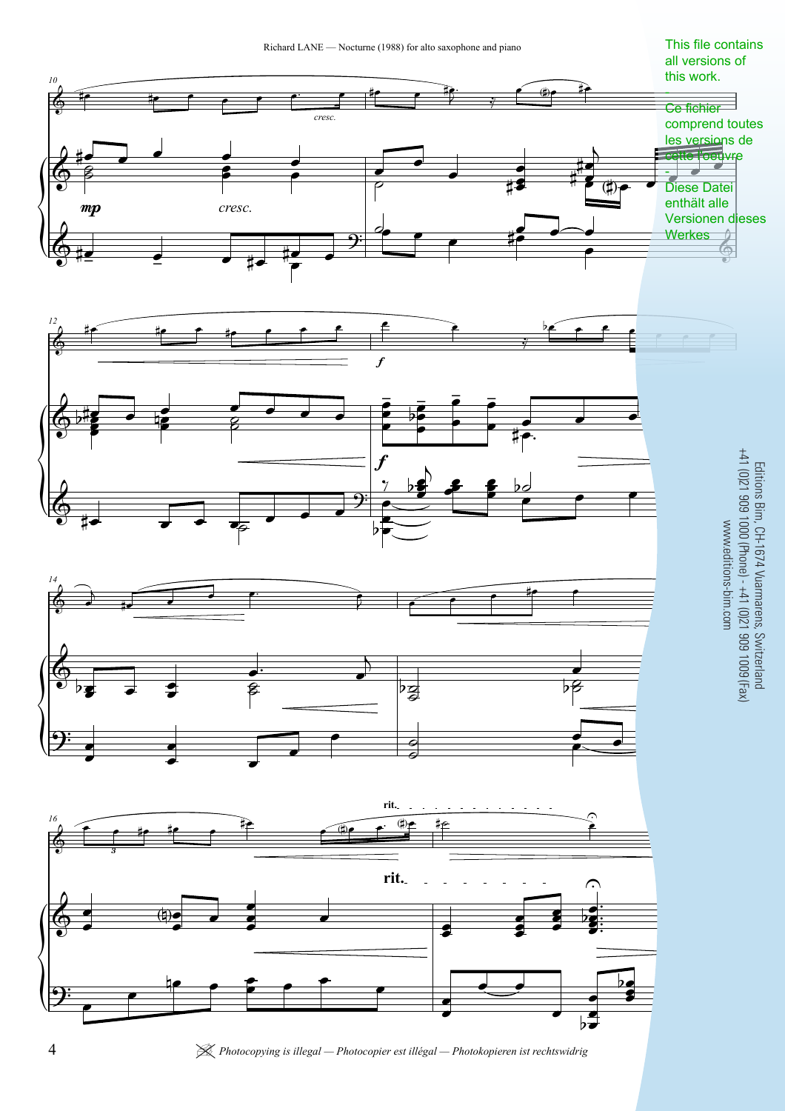

4 <sup>|</sup> *Photocopying is illegal — Photocopier est illégal — Photokopieren ist rechtswidrig*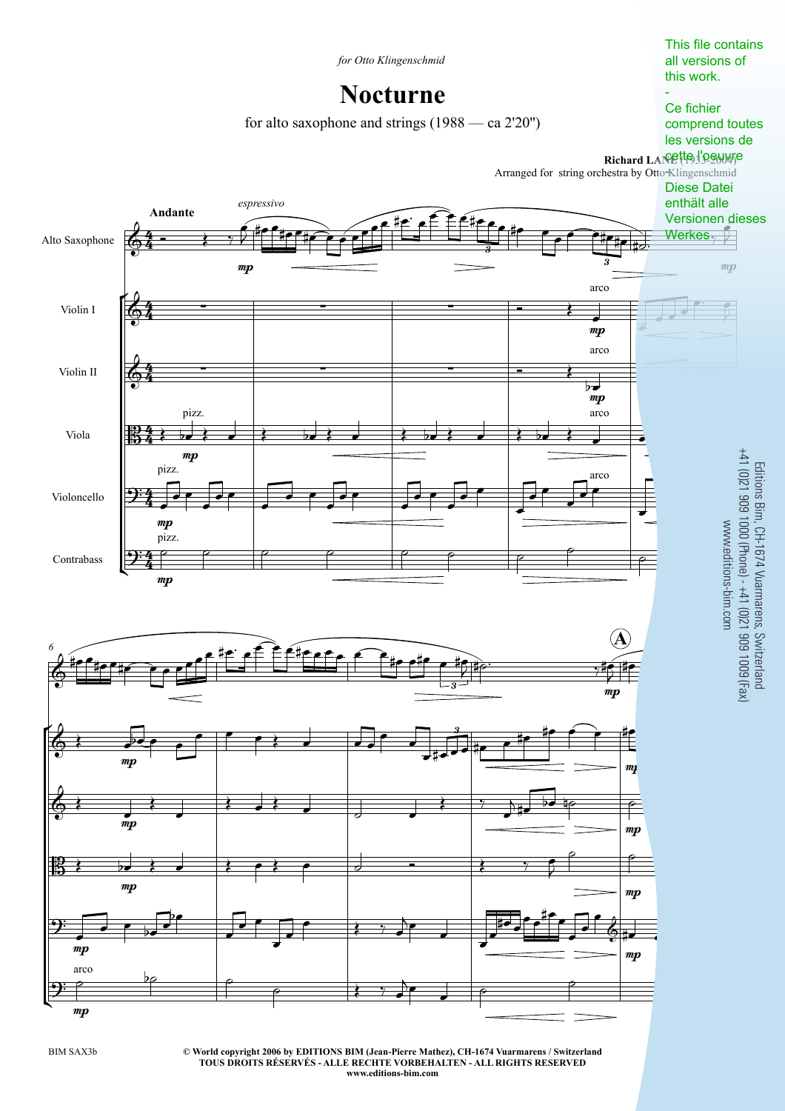

**© World copyright 2006 by EDITIONS BIM (Jean-Pierre Mathez), CH-1674 Vuarmarens / Switzerland** BIM SAX3b 3 **TOUS DROITS RÉSERVÉS - ALLE RECHTE VORBEHALTEN - ALL RIGHTS RESERVED www.editions-bim.com**